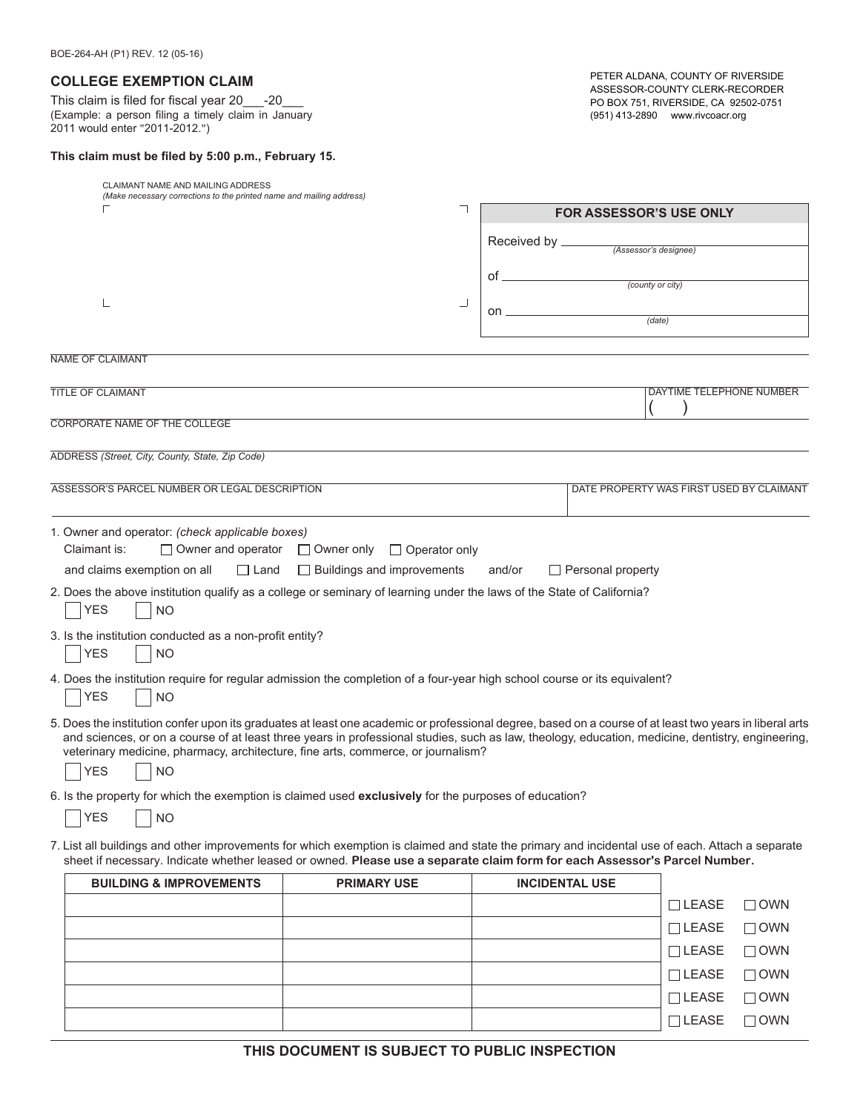## **COLLEGE EXEMPTION CLAIM**

This claim is filed for fiscal year 20\_\_\_-20\_\_\_ (Example: a person filing a timely claim in January 2011 would enter "2011-2012.")

## **This claim must be filed by 5:00 p.m., February 15.**

PETER ALDANA, COUNTY OF RIVERSIDE ASSESSOR-COUNTY CLERK-RECORDER PO BOX 751, RIVERSIDE, CA 92502-0751 (951) 413-2890 www.rivcoacr.org

| CLAIMANT NAME AND MAILING ADDRESS<br>(Make necessary corrections to the printed name and mailing address)                                                                                                                                                                                                                                                                                                                   |                      |                |                          |                                          |
|-----------------------------------------------------------------------------------------------------------------------------------------------------------------------------------------------------------------------------------------------------------------------------------------------------------------------------------------------------------------------------------------------------------------------------|----------------------|----------------|--------------------------|------------------------------------------|
|                                                                                                                                                                                                                                                                                                                                                                                                                             |                      |                |                          | <b>FOR ASSESSOR'S USE ONLY</b>           |
|                                                                                                                                                                                                                                                                                                                                                                                                                             |                      | Received by __ |                          | (Assessor's designee)                    |
|                                                                                                                                                                                                                                                                                                                                                                                                                             |                      | of _           |                          | (county or city)                         |
|                                                                                                                                                                                                                                                                                                                                                                                                                             | ┙                    | on             |                          |                                          |
|                                                                                                                                                                                                                                                                                                                                                                                                                             |                      |                |                          | (data)                                   |
| <b>NAME OF CLAIMANT</b>                                                                                                                                                                                                                                                                                                                                                                                                     |                      |                |                          |                                          |
| TITLE OF CLAIMANT                                                                                                                                                                                                                                                                                                                                                                                                           |                      |                |                          | DAYTIME TELEPHONE NUMBER                 |
| CORPORATE NAME OF THE COLLEGE                                                                                                                                                                                                                                                                                                                                                                                               |                      |                |                          |                                          |
|                                                                                                                                                                                                                                                                                                                                                                                                                             |                      |                |                          |                                          |
| ADDRESS (Street, City, County, State, Zip Code)                                                                                                                                                                                                                                                                                                                                                                             |                      |                |                          |                                          |
| ASSESSOR'S PARCEL NUMBER OR LEGAL DESCRIPTION                                                                                                                                                                                                                                                                                                                                                                               |                      |                |                          | DATE PROPERTY WAS FIRST USED BY CLAIMANT |
| 1. Owner and operator: (check applicable boxes)<br>Claimant is:<br>$\Box$ Owner and operator $\Box$ Owner only                                                                                                                                                                                                                                                                                                              | $\Box$ Operator only |                |                          |                                          |
| and claims exemption on all<br>$\Box$ Land<br>$\Box$ Buildings and improvements                                                                                                                                                                                                                                                                                                                                             |                      | and/or         | $\Box$ Personal property |                                          |
| 2. Does the above institution qualify as a college or seminary of learning under the laws of the State of California?<br><b>YES</b><br><b>NO</b>                                                                                                                                                                                                                                                                            |                      |                |                          |                                          |
| 3. Is the institution conducted as a non-profit entity?<br><b>YES</b><br><b>NO</b>                                                                                                                                                                                                                                                                                                                                          |                      |                |                          |                                          |
| 4. Does the institution require for regular admission the completion of a four-year high school course or its equivalent?<br><b>YES</b><br><b>NO</b>                                                                                                                                                                                                                                                                        |                      |                |                          |                                          |
| 5. Does the institution confer upon its graduates at least one academic or professional degree, based on a course of at least two years in liberal arts<br>and sciences, or on a course of at least three years in professional studies, such as law, theology, education, medicine, dentistry, engineering,<br>veterinary medicine, pharmacy, architecture, fine arts, commerce, or journalism?<br><b>YES</b><br><b>NO</b> |                      |                |                          |                                          |
| 6. Is the property for which the exemption is claimed used exclusively for the purposes of education?                                                                                                                                                                                                                                                                                                                       |                      |                |                          |                                          |
| <b>YES</b><br><b>NO</b>                                                                                                                                                                                                                                                                                                                                                                                                     |                      |                |                          |                                          |
| 7. List all buildings and other improvements for which exemption is claimed and state the primary and incidental use of each. Attach a separate<br>sheet if necessary. Indicate whether leased or owned. Please use a separate claim form for each Assessor's Parcel Number.                                                                                                                                                |                      |                |                          |                                          |

| <b>BUILDING &amp; IMPROVEMENTS</b> | <b>PRIMARY USE</b> | <b>INCIDENTAL USE</b> |                |            |
|------------------------------------|--------------------|-----------------------|----------------|------------|
|                                    |                    |                       | $\sqcap$ LEASE | $\Box$ OWN |
|                                    |                    |                       | $\Box$ LEASE   | $\Box$ OWN |
|                                    |                    |                       | $\Box$ LEASE   | $\Box$ OWN |
|                                    |                    |                       | $\Box$ LEASE   | $\Box$ OWN |
|                                    |                    |                       | $\Box$ LEASE   | $\Box$ OWN |
|                                    |                    |                       | $\Box$ LEASE   | $\Box$ own |